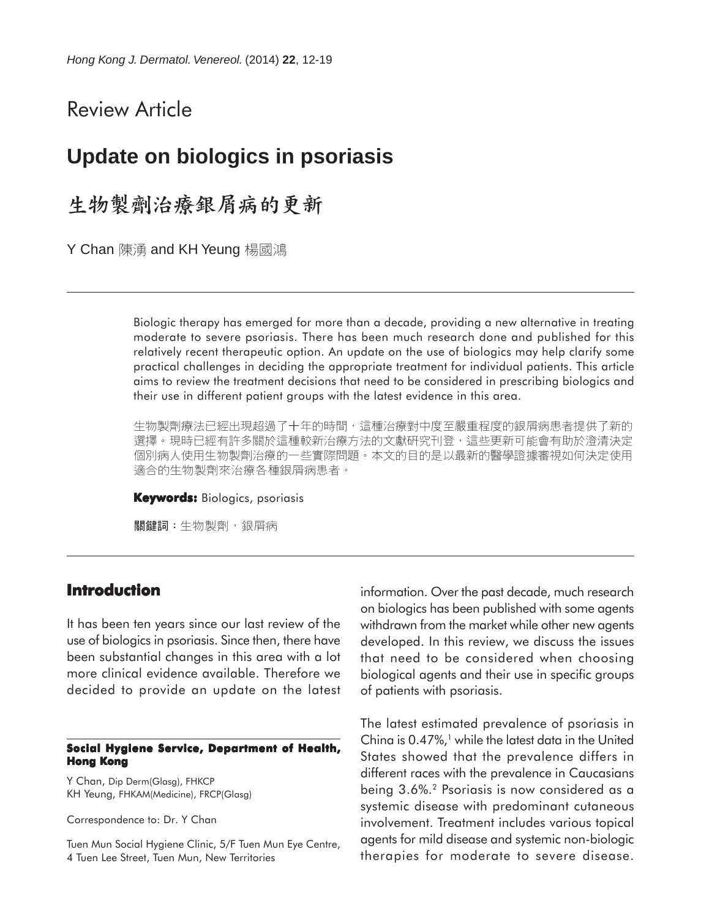# Review Article

# **Update on biologics in psoriasis**

生物製劑治療銀屑病的更新

Y Chan 陳湧 and KH Yeung 楊國鴻

Biologic therapy has emerged for more than a decade, providing a new alternative in treating moderate to severe psoriasis. There has been much research done and published for this relatively recent therapeutic option. An update on the use of biologics may help clarify some practical challenges in deciding the appropriate treatment for individual patients. This article aims to review the treatment decisions that need to be considered in prescribing biologics and their use in different patient groups with the latest evidence in this area.

生物製劑療法已經出現超過了十年的時間,這種治療對中度至嚴重程度的銀屑病患者提供了新的 選擇。現時已經有許多關於這種較新治療方法的文獻研究刊登,這些更新可能會有助於澄清決定 個別病人使用生物製劑治療的一些實際問題。本文的目的是以最新的醫學證據審視如何決定使用 適合的生物製劑來治療各種銀屑病患者。

**Keywords:** Biologics, psoriasis

關鍵詞:生物製劑,銀屑病

# **Introduction**

It has been ten years since our last review of the use of biologics in psoriasis. Since then, there have been substantial changes in this area with a lot more clinical evidence available. Therefore we decided to provide an update on the latest

#### **Social Hygiene Service, Department of Health, Hong Kong**

Y Chan, Dip Derm(Glasg), FHKCP KH Yeung, FHKAM(Medicine), FRCP(Glasg)

Correspondence to: Dr. Y Chan

Tuen Mun Social Hygiene Clinic, 5/F Tuen Mun Eye Centre, 4 Tuen Lee Street, Tuen Mun, New Territories

information. Over the past decade, much research on biologics has been published with some agents withdrawn from the market while other new agents developed. In this review, we discuss the issues that need to be considered when choosing biological agents and their use in specific groups of patients with psoriasis.

The latest estimated prevalence of psoriasis in China is  $0.47\%$ ,<sup>1</sup> while the latest data in the United States showed that the prevalence differs in different races with the prevalence in Caucasians being 3.6%.2 Psoriasis is now considered as a systemic disease with predominant cutaneous involvement. Treatment includes various topical agents for mild disease and systemic non-biologic therapies for moderate to severe disease.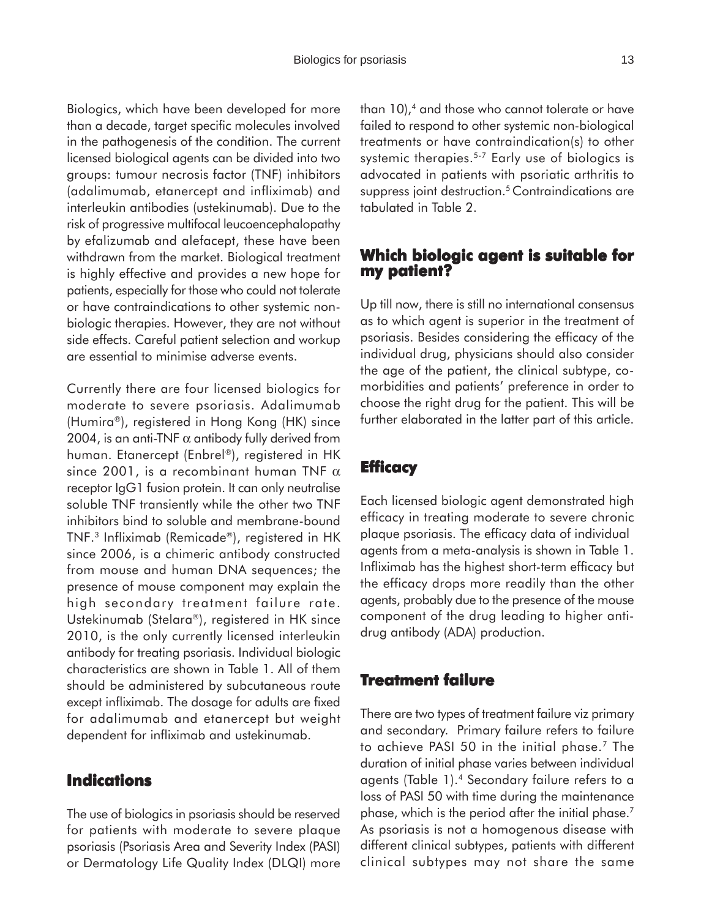Biologics, which have been developed for more than a decade, target specific molecules involved in the pathogenesis of the condition. The current licensed biological agents can be divided into two groups: tumour necrosis factor (TNF) inhibitors (adalimumab, etanercept and infliximab) and interleukin antibodies (ustekinumab). Due to the risk of progressive multifocal leucoencephalopathy by efalizumab and alefacept, these have been withdrawn from the market. Biological treatment is highly effective and provides a new hope for patients, especially for those who could not tolerate or have contraindications to other systemic nonbiologic therapies. However, they are not without side effects. Careful patient selection and workup are essential to minimise adverse events.

Currently there are four licensed biologics for moderate to severe psoriasis. Adalimumab (Humira®), registered in Hong Kong (HK) since 2004, is an anti-TNF  $\alpha$  antibody fully derived from human. Etanercept (Enbrel®), registered in HK since 2001, is a recombinant human TNF  $\alpha$ receptor IgG1 fusion protein. It can only neutralise soluble TNF transiently while the other two TNF inhibitors bind to soluble and membrane-bound TNF.3 Infliximab (Remicade®), registered in HK since 2006, is a chimeric antibody constructed from mouse and human DNA sequences; the presence of mouse component may explain the high secondary treatment failure rate. Ustekinumab (Stelara®), registered in HK since 2010, is the only currently licensed interleukin antibody for treating psoriasis. Individual biologic characteristics are shown in Table 1. All of them should be administered by subcutaneous route except infliximab. The dosage for adults are fixed for adalimumab and etanercept but weight dependent for infliximab and ustekinumab.

### **Indications**

The use of biologics in psoriasis should be reserved for patients with moderate to severe plaque psoriasis (Psoriasis Area and Severity Index (PASI) or Dermatology Life Quality Index (DLQI) more than  $10$ ,<sup>4</sup> and those who cannot tolerate or have failed to respond to other systemic non-biological treatments or have contraindication(s) to other systemic therapies.<sup>5-7</sup> Early use of biologics is advocated in patients with psoriatic arthritis to suppress joint destruction.<sup>5</sup> Contraindications are tabulated in Table 2.

## **Which biologic agent is suitable for my patient?**

Up till now, there is still no international consensus as to which agent is superior in the treatment of psoriasis. Besides considering the efficacy of the individual drug, physicians should also consider the age of the patient, the clinical subtype, comorbidities and patients' preference in order to choose the right drug for the patient. This will be further elaborated in the latter part of this article.

### **Efficacy**

Each licensed biologic agent demonstrated high efficacy in treating moderate to severe chronic plaque psoriasis. The efficacy data of individual agents from a meta-analysis is shown in Table 1. Infliximab has the highest short-term efficacy but the efficacy drops more readily than the other agents, probably due to the presence of the mouse component of the drug leading to higher antidrug antibody (ADA) production.

### **Treatment failure**

There are two types of treatment failure viz primary and secondary. Primary failure refers to failure to achieve PASI 50 in the initial phase.7 The duration of initial phase varies between individual agents (Table 1).4 Secondary failure refers to a loss of PASI 50 with time during the maintenance phase, which is the period after the initial phase.<sup>7</sup> As psoriasis is not a homogenous disease with different clinical subtypes, patients with different clinical subtypes may not share the same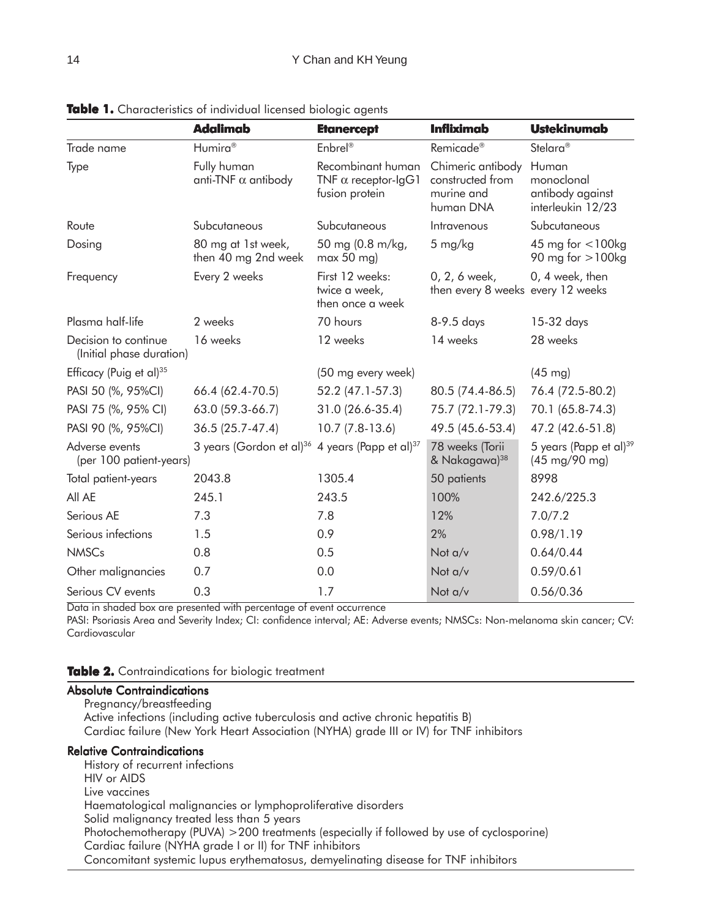|                                                  | <b>Adalimab</b>                                                         | <b>Etanercept</b>                                                 | <b>Infliximab</b>                                                | <b>Ustekinumab</b>                                                    |
|--------------------------------------------------|-------------------------------------------------------------------------|-------------------------------------------------------------------|------------------------------------------------------------------|-----------------------------------------------------------------------|
| Trade name                                       | Humira <sup>®</sup>                                                     | Enbrel®                                                           | Remicade <sup>®</sup>                                            | Stelara <sup>®</sup>                                                  |
| Type                                             | Fully human<br>anti-TNF $\alpha$ antibody                               | Recombinant human<br>TNF $\alpha$ receptor-IgG1<br>fusion protein | Chimeric antibody<br>constructed from<br>murine and<br>human DNA | Human<br>monoclonal<br>antibody against<br>interleukin 12/23          |
| Route                                            | Subcutaneous                                                            | Subcutaneous                                                      | Intravenous                                                      | Subcutaneous                                                          |
| Dosing                                           | 80 mg at 1st week,<br>then 40 mg 2nd week                               | 50 mg (0.8 m/kg,<br>$max 50$ mg)                                  | 5 mg/kg                                                          | 45 mg for $<$ 100kg<br>90 mg for $>100$ kg                            |
| Frequency                                        | Every 2 weeks                                                           | First 12 weeks:<br>twice a week,<br>then once a week              | 0, 2, 6 week,<br>then every 8 weeks every 12 weeks               | 0, 4 week, then                                                       |
| Plasma half-life                                 | 2 weeks                                                                 | 70 hours                                                          | 8-9.5 days                                                       | 15-32 days                                                            |
| Decision to continue<br>(Initial phase duration) | 16 weeks                                                                | 12 weeks                                                          | 14 weeks                                                         | 28 weeks                                                              |
| Efficacy (Puig et al) <sup>35</sup>              |                                                                         | (50 mg every week)                                                |                                                                  | $(45 \text{ mg})$                                                     |
| PASI 50 (%, 95%CI)                               | 66.4 (62.4-70.5)                                                        | 52.2 (47.1-57.3)                                                  | 80.5 (74.4-86.5)                                                 | 76.4 (72.5-80.2)                                                      |
| PASI 75 (%, 95% CI)                              | 63.0 (59.3-66.7)                                                        | 31.0 (26.6-35.4)                                                  | 75.7 (72.1-79.3)                                                 | 70.1 (65.8-74.3)                                                      |
| PASI 90 (%, 95%CI)                               | 36.5 (25.7-47.4)                                                        | $10.7(7.8-13.6)$                                                  | 49.5 (45.6-53.4)                                                 | 47.2 (42.6-51.8)                                                      |
| Adverse events<br>(per 100 patient-years)        | 3 years (Gordon et al) <sup>36</sup> 4 years (Papp et al) <sup>37</sup> |                                                                   | 78 weeks (Torii<br>& Nakagawa) <sup>38</sup>                     | 5 years (Papp et al) <sup>39</sup><br>$(45 \text{ mg}/90 \text{ mg})$ |
| Total patient-years                              | 2043.8                                                                  | 1305.4                                                            | 50 patients                                                      | 8998                                                                  |
| All AE                                           | 245.1                                                                   | 243.5                                                             | 100%                                                             | 242.6/225.3                                                           |
| Serious AE                                       | 7.3                                                                     | 7.8                                                               | 12%                                                              | 7.0/7.2                                                               |
| Serious infections                               | 1.5                                                                     | 0.9                                                               | 2%                                                               | 0.98/1.19                                                             |
| <b>NMSCs</b>                                     | 0.8                                                                     | 0.5                                                               | Not a/v                                                          | 0.64/0.44                                                             |
| Other malignancies                               | 0.7                                                                     | 0.0                                                               | Not a/v                                                          | 0.59/0.61                                                             |
| Serious CV events                                | 0.3                                                                     | 1.7                                                               | Not a/v                                                          | 0.56/0.36                                                             |

**Table 1.** Characteristics of individual licensed biologic agents

Data in shaded box are presented with percentage of event occurrence

PASI: Psoriasis Area and Severity Index; CI: confidence interval; AE: Adverse events; NMSCs: Non-melanoma skin cancer; CV: Cardiovascular

#### **Table 2.** Contraindications for biologic treatment

#### Absolute Contraindications

Pregnancy/breastfeeding Active infections (including active tuberculosis and active chronic hepatitis B) Cardiac failure (New York Heart Association (NYHA) grade III or IV) for TNF inhibitors

#### Relative Contraindications

History of recurrent infections HIV or AIDS Live vaccines Haematological malignancies or lymphoproliferative disorders Solid malignancy treated less than 5 years Photochemotherapy (PUVA) >200 treatments (especially if followed by use of cyclosporine) Cardiac failure (NYHA grade I or II) for TNF inhibitors Concomitant systemic lupus erythematosus, demyelinating disease for TNF inhibitors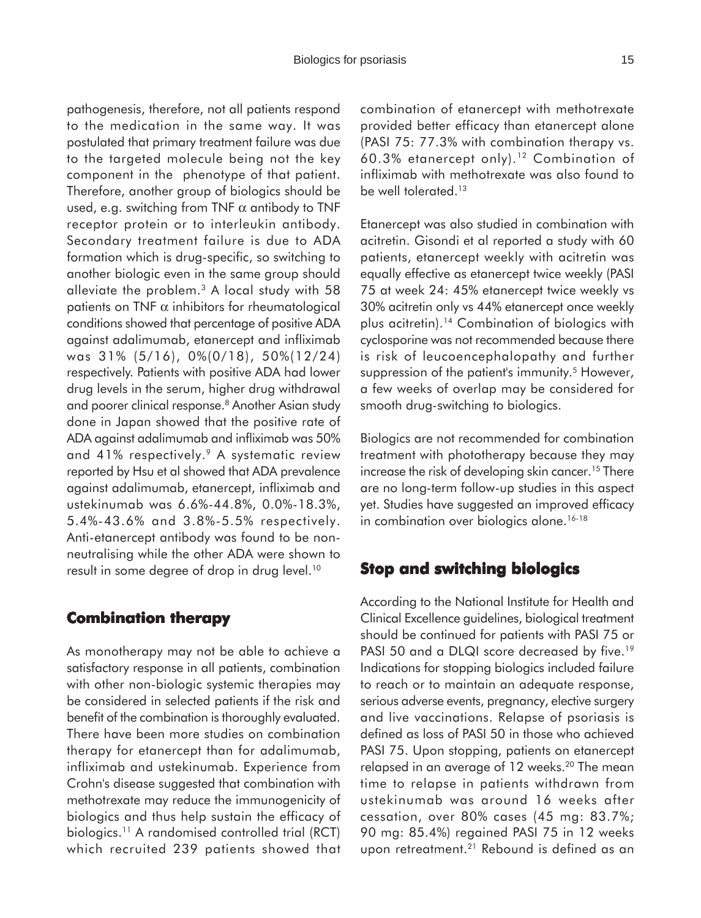pathogenesis, therefore, not all patients respond to the medication in the same way. It was postulated that primary treatment failure was due to the targeted molecule being not the key component in the phenotype of that patient. Therefore, another group of biologics should be used, e.g. switching from TNF  $\alpha$  antibody to TNF receptor protein or to interleukin antibody. Secondary treatment failure is due to ADA formation which is drug-specific, so switching to another biologic even in the same group should alleviate the problem.3 A local study with 58 patients on TNF  $\alpha$  inhibitors for rheumatological conditions showed that percentage of positive ADA against adalimumab, etanercept and infliximab was 31% (5/16), 0%(0/18), 50%(12/24) respectively. Patients with positive ADA had lower drug levels in the serum, higher drug withdrawal and poorer clinical response.<sup>8</sup> Another Asian study done in Japan showed that the positive rate of ADA against adalimumab and infliximab was 50% and 41% respectively.<sup>9</sup> A systematic review reported by Hsu et al showed that ADA prevalence against adalimumab, etanercept, infliximab and ustekinumab was 6.6%-44.8%, 0.0%-18.3%, 5.4%-43.6% and 3.8%-5.5% respectively. Anti-etanercept antibody was found to be nonneutralising while the other ADA were shown to result in some degree of drop in drug level.<sup>10</sup>

### **Combination therapy**

As monotherapy may not be able to achieve a satisfactory response in all patients, combination with other non-biologic systemic therapies may be considered in selected patients if the risk and benefit of the combination is thoroughly evaluated. There have been more studies on combination therapy for etanercept than for adalimumab, infliximab and ustekinumab. Experience from Crohn's disease suggested that combination with methotrexate may reduce the immunogenicity of biologics and thus help sustain the efficacy of biologics.11 A randomised controlled trial (RCT) which recruited 239 patients showed that combination of etanercept with methotrexate provided better efficacy than etanercept alone (PASI 75: 77.3% with combination therapy vs. 60.3% etanercept only).12 Combination of infliximab with methotrexate was also found to be well tolerated.<sup>13</sup>

Etanercept was also studied in combination with acitretin. Gisondi et al reported a study with 60 patients, etanercept weekly with acitretin was equally effective as etanercept twice weekly (PASI 75 at week 24: 45% etanercept twice weekly vs 30% acitretin only vs 44% etanercept once weekly plus acitretin).14 Combination of biologics with cyclosporine was not recommended because there is risk of leucoencephalopathy and further suppression of the patient's immunity.<sup>5</sup> However, a few weeks of overlap may be considered for smooth drug-switching to biologics.

Biologics are not recommended for combination treatment with phototherapy because they may increase the risk of developing skin cancer.<sup>15</sup> There are no long-term follow-up studies in this aspect yet. Studies have suggested an improved efficacy in combination over biologics alone.<sup>16-18</sup>

# **Stop and switching biologics**

According to the National Institute for Health and Clinical Excellence guidelines, biological treatment should be continued for patients with PASI 75 or PASI 50 and a DLQI score decreased by five.<sup>19</sup> Indications for stopping biologics included failure to reach or to maintain an adequate response, serious adverse events, pregnancy, elective surgery and live vaccinations. Relapse of psoriasis is defined as loss of PASI 50 in those who achieved PASI 75. Upon stopping, patients on etanercept relapsed in an average of 12 weeks.<sup>20</sup> The mean time to relapse in patients withdrawn from ustekinumab was around 16 weeks after cessation, over 80% cases (45 mg: 83.7%; 90 mg: 85.4%) regained PASI 75 in 12 weeks upon retreatment.<sup>21</sup> Rebound is defined as an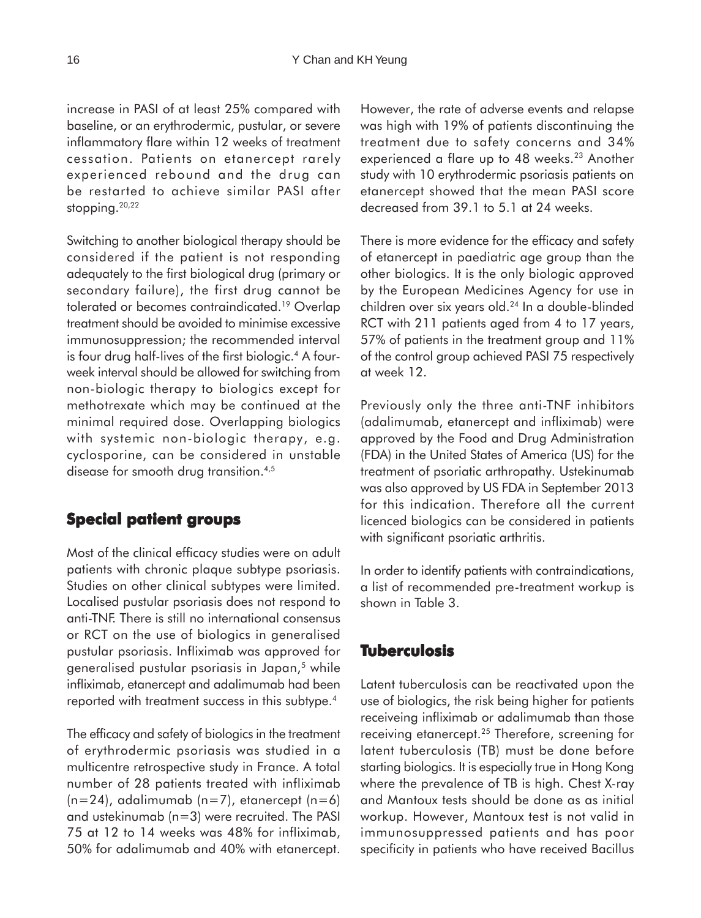increase in PASI of at least 25% compared with baseline, or an erythrodermic, pustular, or severe inflammatory flare within 12 weeks of treatment cessation. Patients on etanercept rarely experienced rebound and the drug can be restarted to achieve similar PASI after stopping. $20,22$ 

Switching to another biological therapy should be considered if the patient is not responding adequately to the first biological drug (primary or secondary failure), the first drug cannot be tolerated or becomes contraindicated.19 Overlap treatment should be avoided to minimise excessive immunosuppression; the recommended interval is four drug half-lives of the first biologic.<sup>4</sup> A fourweek interval should be allowed for switching from non-biologic therapy to biologics except for methotrexate which may be continued at the minimal required dose. Overlapping biologics with systemic non-biologic therapy, e.g. cyclosporine, can be considered in unstable disease for smooth drug transition.<sup>4,5</sup>

# **Special patient groups**

Most of the clinical efficacy studies were on adult patients with chronic plaque subtype psoriasis. Studies on other clinical subtypes were limited. Localised pustular psoriasis does not respond to anti-TNF. There is still no international consensus or RCT on the use of biologics in generalised pustular psoriasis. Infliximab was approved for generalised pustular psoriasis in Japan,<sup>5</sup> while infliximab, etanercept and adalimumab had been reported with treatment success in this subtype.<sup>4</sup>

The efficacy and safety of biologics in the treatment of erythrodermic psoriasis was studied in a multicentre retrospective study in France. A total number of 28 patients treated with infliximab  $(n=24)$ , adalimumab  $(n=7)$ , etanercept  $(n=6)$ and ustekinumab (n=3) were recruited. The PASI 75 at 12 to 14 weeks was 48% for infliximab, 50% for adalimumab and 40% with etanercept. However, the rate of adverse events and relapse was high with 19% of patients discontinuing the treatment due to safety concerns and 34% experienced a flare up to 48 weeks.<sup>23</sup> Another study with 10 erythrodermic psoriasis patients on etanercept showed that the mean PASI score decreased from 39.1 to 5.1 at 24 weeks.

There is more evidence for the efficacy and safety of etanercept in paediatric age group than the other biologics. It is the only biologic approved by the European Medicines Agency for use in children over six years old.24 In a double-blinded RCT with 211 patients aged from 4 to 17 years, 57% of patients in the treatment group and 11% of the control group achieved PASI 75 respectively at week 12.

Previously only the three anti-TNF inhibitors (adalimumab, etanercept and infliximab) were approved by the Food and Drug Administration (FDA) in the United States of America (US) for the treatment of psoriatic arthropathy. Ustekinumab was also approved by US FDA in September 2013 for this indication. Therefore all the current licenced biologics can be considered in patients with significant psoriatic arthritis.

In order to identify patients with contraindications, a list of recommended pre-treatment workup is shown in Table 3.

# **Tuberculosis**

Latent tuberculosis can be reactivated upon the use of biologics, the risk being higher for patients receiveing infliximab or adalimumab than those receiving etanercept.25 Therefore, screening for latent tuberculosis (TB) must be done before starting biologics. It is especially true in Hong Kong where the prevalence of TB is high. Chest X-ray and Mantoux tests should be done as as initial workup. However, Mantoux test is not valid in immunosuppressed patients and has poor specificity in patients who have received Bacillus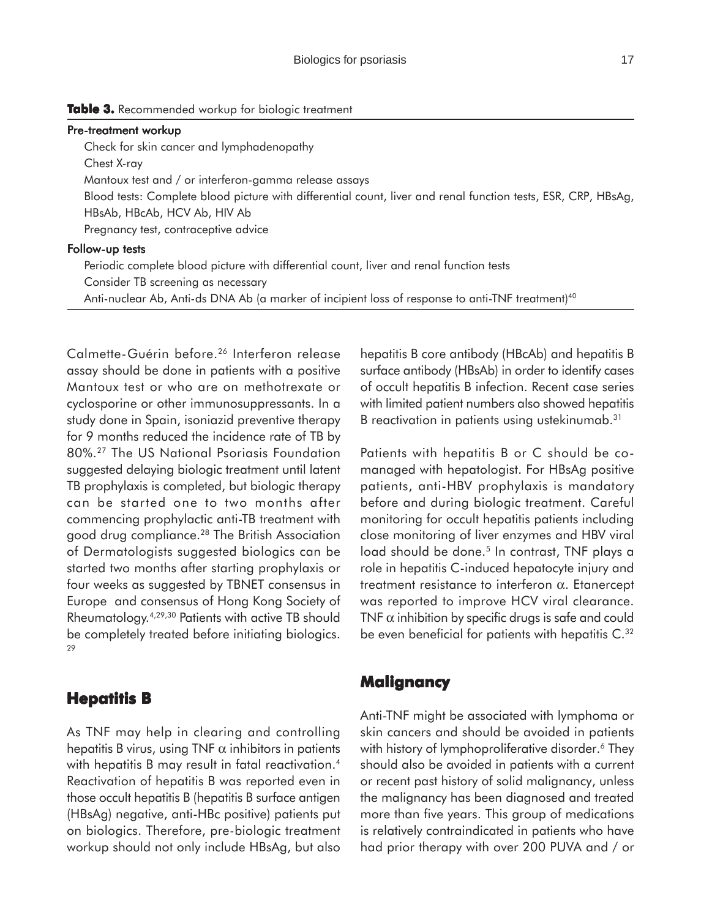#### Table 3. Recommended workup for biologic treatment

#### Pre-treatment workup

Check for skin cancer and lymphadenopathy Chest X-ray Mantoux test and / or interferon-gamma release assays Blood tests: Complete blood picture with differential count, liver and renal function tests, ESR, CRP, HBsAg, HBsAb, HBcAb, HCV Ab, HIV Ab Pregnancy test, contraceptive advice

#### Follow-up tests

Periodic complete blood picture with differential count, liver and renal function tests Consider TB screening as necessary Anti-nuclear Ab, Anti-ds DNA Ab (a marker of incipient loss of response to anti-TNF treatment)<sup>40</sup>

Calmette-Guérin before.26 Interferon release assay should be done in patients with a positive Mantoux test or who are on methotrexate or cyclosporine or other immunosuppressants. In a study done in Spain, isoniazid preventive therapy for 9 months reduced the incidence rate of TB by 80%.27 The US National Psoriasis Foundation suggested delaying biologic treatment until latent TB prophylaxis is completed, but biologic therapy can be started one to two months after commencing prophylactic anti-TB treatment with good drug compliance.28 The British Association of Dermatologists suggested biologics can be started two months after starting prophylaxis or four weeks as suggested by TBNET consensus in Europe and consensus of Hong Kong Society of Rheumatology.4,29,30 Patients with active TB should be completely treated before initiating biologics. 29

### **Hepatitis B**

As TNF may help in clearing and controlling hepatitis B virus, using TNF  $\alpha$  inhibitors in patients with hepatitis B may result in fatal reactivation.<sup>4</sup> Reactivation of hepatitis B was reported even in those occult hepatitis B (hepatitis B surface antigen (HBsAg) negative, anti-HBc positive) patients put on biologics. Therefore, pre-biologic treatment workup should not only include HBsAg, but also hepatitis B core antibody (HBcAb) and hepatitis B surface antibody (HBsAb) in order to identify cases of occult hepatitis B infection. Recent case series with limited patient numbers also showed hepatitis B reactivation in patients using ustekinumab.<sup>31</sup>

Patients with hepatitis B or C should be comanaged with hepatologist. For HBsAg positive patients, anti-HBV prophylaxis is mandatory before and during biologic treatment. Careful monitoring for occult hepatitis patients including close monitoring of liver enzymes and HBV viral load should be done.<sup>5</sup> In contrast, TNF plays a role in hepatitis C-induced hepatocyte injury and treatment resistance to interferon α. Etanercept was reported to improve HCV viral clearance. TNF  $\alpha$  inhibition by specific drugs is safe and could be even beneficial for patients with hepatitis C.<sup>32</sup>

### **Malignancy**

Anti-TNF might be associated with lymphoma or skin cancers and should be avoided in patients with history of lymphoproliferative disorder.<sup>6</sup> They should also be avoided in patients with a current or recent past history of solid malignancy, unless the malignancy has been diagnosed and treated more than five years. This group of medications is relatively contraindicated in patients who have had prior therapy with over 200 PUVA and / or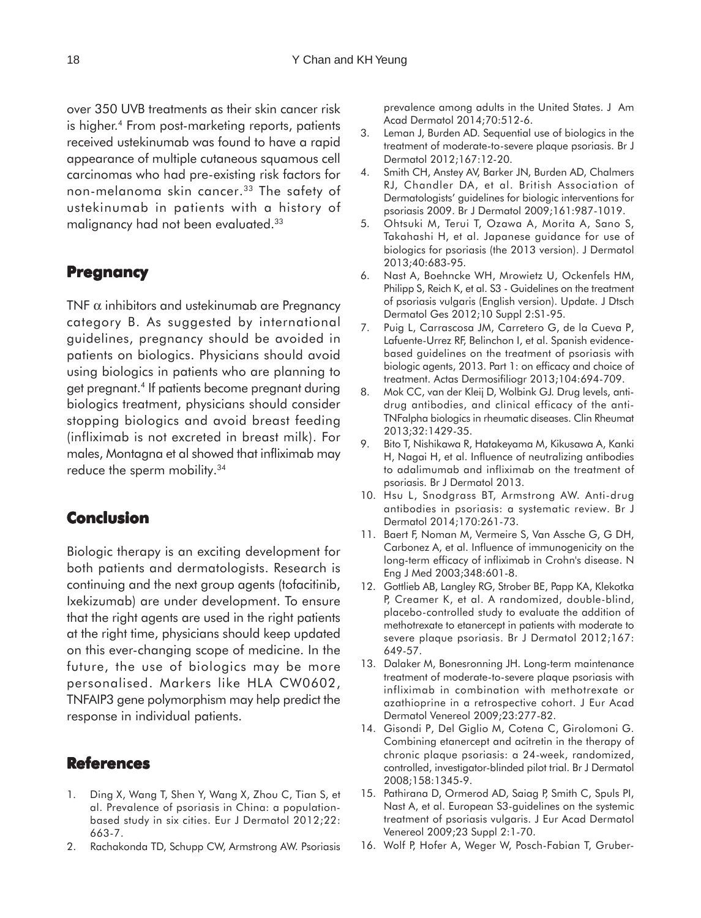over 350 UVB treatments as their skin cancer risk is higher.<sup>4</sup> From post-marketing reports, patients received ustekinumab was found to have a rapid appearance of multiple cutaneous squamous cell carcinomas who had pre-existing risk factors for non-melanoma skin cancer.<sup>33</sup> The safety of ustekinumab in patients with a history of malignancy had not been evaluated.33

# **Pregnancy**

TNF  $\alpha$  inhibitors and ustekinumab are Pregnancy category B. As suggested by international guidelines, pregnancy should be avoided in patients on biologics. Physicians should avoid using biologics in patients who are planning to get pregnant.4 If patients become pregnant during biologics treatment, physicians should consider stopping biologics and avoid breast feeding (infliximab is not excreted in breast milk). For males, Montagna et al showed that infliximab may reduce the sperm mobility.<sup>34</sup>

# **Conclusion**

Biologic therapy is an exciting development for both patients and dermatologists. Research is continuing and the next group agents (tofacitinib, Ixekizumab) are under development. To ensure that the right agents are used in the right patients at the right time, physicians should keep updated on this ever-changing scope of medicine. In the future, the use of biologics may be more personalised. Markers like HLA CW0602, TNFAIP3 gene polymorphism may help predict the response in individual patients.

### **References**

- 1. Ding X, Wang T, Shen Y, Wang X, Zhou C, Tian S, et al. Prevalence of psoriasis in China: a populationbased study in six cities. Eur J Dermatol 2012;22: 663-7.
- 2. Rachakonda TD, Schupp CW, Armstrong AW. Psoriasis

prevalence among adults in the United States. J Am Acad Dermatol 2014;70:512-6.

- 3. Leman J, Burden AD. Sequential use of biologics in the treatment of moderate-to-severe plaque psoriasis. Br J Dermatol 2012;167:12-20.
- 4. Smith CH, Anstey AV, Barker JN, Burden AD, Chalmers RJ, Chandler DA, et al. British Association of Dermatologists' guidelines for biologic interventions for psoriasis 2009. Br J Dermatol 2009;161:987-1019.
- 5. Ohtsuki M, Terui T, Ozawa A, Morita A, Sano S, Takahashi H, et al. Japanese guidance for use of biologics for psoriasis (the 2013 version). J Dermatol 2013;40:683-95.
- 6. Nast A, Boehncke WH, Mrowietz U, Ockenfels HM, Philipp S, Reich K, et al. S3 - Guidelines on the treatment of psoriasis vulgaris (English version). Update. J Dtsch Dermatol Ges 2012;10 Suppl 2:S1-95.
- 7. Puig L, Carrascosa JM, Carretero G, de la Cueva P, Lafuente-Urrez RF, Belinchon I, et al. Spanish evidencebased guidelines on the treatment of psoriasis with biologic agents, 2013. Part 1: on efficacy and choice of treatment. Actas Dermosifiliogr 2013;104:694-709.
- 8. Mok CC, van der Kleij D, Wolbink GJ. Drug levels, antidrug antibodies, and clinical efficacy of the anti-TNFalpha biologics in rheumatic diseases. Clin Rheumat 2013;32:1429-35.
- 9. Bito T, Nishikawa R, Hatakeyama M, Kikusawa A, Kanki H, Nagai H, et al. Influence of neutralizing antibodies to adalimumab and infliximab on the treatment of psoriasis. Br J Dermatol 2013.
- 10. Hsu L, Snodgrass BT, Armstrong AW. Anti-drug antibodies in psoriasis: a systematic review. Br J Dermatol 2014;170:261-73.
- 11. Baert F, Noman M, Vermeire S, Van Assche G, G DH, Carbonez A, et al. Influence of immunogenicity on the long-term efficacy of infliximab in Crohn's disease. N Eng J Med 2003;348:601-8.
- 12. Gottlieb AB, Langley RG, Strober BE, Papp KA, Klekotka P, Creamer K, et al. A randomized, double-blind, placebo-controlled study to evaluate the addition of methotrexate to etanercept in patients with moderate to severe plaque psoriasis. Br J Dermatol 2012;167: 649-57.
- 13. Dalaker M, Bonesronning JH. Long-term maintenance treatment of moderate-to-severe plaque psoriasis with infliximab in combination with methotrexate or azathioprine in a retrospective cohort. J Eur Acad Dermatol Venereol 2009;23:277-82.
- 14. Gisondi P, Del Giglio M, Cotena C, Girolomoni G. Combining etanercept and acitretin in the therapy of chronic plaque psoriasis: a 24-week, randomized, controlled, investigator-blinded pilot trial. Br J Dermatol 2008;158:1345-9.
- 15. Pathirana D, Ormerod AD, Saiag P, Smith C, Spuls PI, Nast A, et al. European S3-guidelines on the systemic treatment of psoriasis vulgaris. J Eur Acad Dermatol Venereol 2009;23 Suppl 2:1-70.
- 16. Wolf P, Hofer A, Weger W, Posch-Fabian T, Gruber-